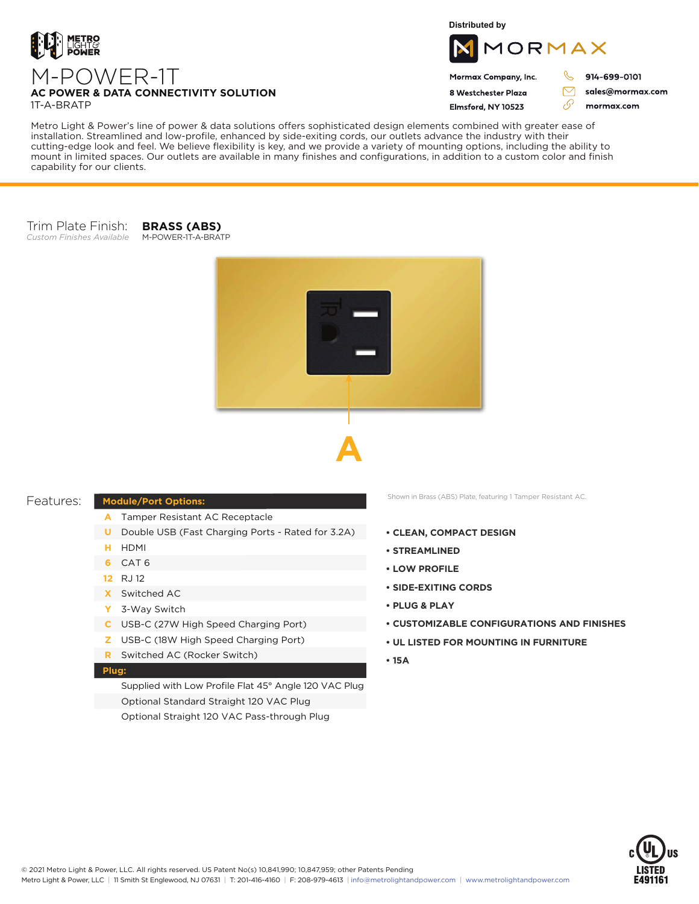

**Distributed by**



Mormax Company, Inc. 8 Westchester Plaza

Elmsford, NY 10523

914-699-0101

J

76

sales@mormax.com mormax.com

### **AC POWER & DATA CONNECTIVITY SOLUTION** 1T-A-BRATP

Metro Light & Power's line of power & data solutions offers sophisticated design elements combined with greater ease of installation. Streamlined and low-profile, enhanced by side-exiting cords, our outlets advance the industry with their cutting-edge look and feel. We believe flexibility is key, and we provide a variety of mounting options, including the ability to mount in limited spaces. Our outlets are available in many finishes and configurations, in addition to a custom color and finish capability for our clients.

#### Trim Plate Finish: *Custom Finishes Available* M-POWER-1T-A-BRATP

M-POWER-1T

**BRASS (ABS)**





# Features:

# **Module/Port Options:**

- Tamper Resistant AC Receptacle **A**
- **U** Double USB (Fast Charging Ports Rated for 3.2A)
- HDMI **H**
- CAT 6 **6**
- RJ 12 **12**
- Switched AC **X**
- 3-Way Switch **Y**
- USB-C (27W High Speed Charging Port) **C**
- USB-C (18W High Speed Charging Port) **Z**
- Switched AC (Rocker Switch) **R**

# **Plug:**

Supplied with Low Profile Flat 45° Angle 120 VAC Plug Optional Standard Straight 120 VAC Plug Optional Straight 120 VAC Pass-through Plug

Shown in Brass (ABS) Plate, featuring 1 Tamper Resistant AC.

- **CLEAN, COMPACT DESIGN**
- **STREAMLINED**
- **LOW PROFILE**
- **SIDE-EXITING CORDS**
- **PLUG & PLAY**
- **CUSTOMIZABLE CONFIGURATIONS AND FINISHES**
- **UL LISTED FOR MOUNTING IN FURNITURE**
- **15A**